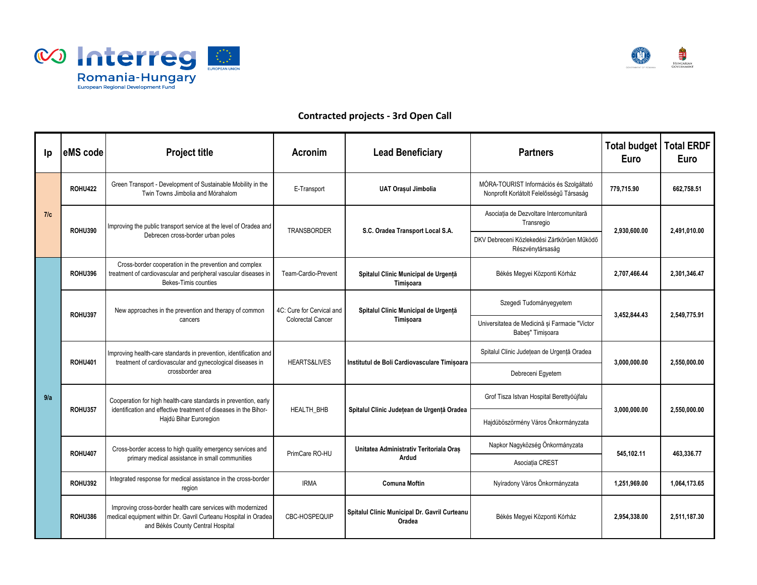



## **Contracted projects - 3rd Open Call**

| Ip. | eMS code       | <b>Project title</b>                                                                                                                                                | Acronim                                               | <b>Lead Beneficiary</b>                                 | <b>Partners</b>                                                                     | Total budget   Total ERDF<br>Euro | Euro         |
|-----|----------------|---------------------------------------------------------------------------------------------------------------------------------------------------------------------|-------------------------------------------------------|---------------------------------------------------------|-------------------------------------------------------------------------------------|-----------------------------------|--------------|
| 7/c | <b>ROHU422</b> | Green Transport - Development of Sustainable Mobility in the<br>Twin Towns Jimbolia and Mórahalom                                                                   | E-Transport                                           | <b>UAT Orașul Jimbolia</b>                              | MÓRA-TOURIST Információs és Szolgáltató<br>Nonprofit Korlátolt Felelősségű Társaság | 779.715.90                        | 662.758.51   |
|     | <b>ROHU390</b> | Improving the public transport service at the level of Oradea and<br>Debrecen cross-border urban poles                                                              | <b>TRANSBORDER</b>                                    | S.C. Oradea Transport Local S.A.                        | Asociația de Dezvoltare Intercomunitară<br>Transregio                               | 2,930,600.00                      | 2,491,010.00 |
|     |                |                                                                                                                                                                     |                                                       |                                                         | DKV Debreceni Közlekedési Zártkörűen Működő<br>Részvénytársaság                     |                                   |              |
|     | <b>ROHU396</b> | Cross-border cooperation in the prevention and complex<br>treatment of cardiovascular and peripheral vascular diseases in<br>Bekes-Timis counties                   | Team-Cardio-Prevent                                   | Spitalul Clinic Municipal de Urgentă<br>Timisoara       | Békés Megyei Központi Kórház                                                        | 2,707,466.44                      | 2,301,346.47 |
|     | <b>ROHU397</b> | New approaches in the prevention and therapy of common<br>cancers                                                                                                   | 4C: Cure for Cervical and<br><b>Colorectal Cancer</b> | Spitalul Clinic Municipal de Urgență<br>Timișoara       | Szegedi Tudományegyetem                                                             | 3.452.844.43                      | 2.549.775.91 |
|     |                |                                                                                                                                                                     |                                                       |                                                         | Universitatea de Medicină și Farmacie "Victor<br>Babeș" Timișoara                   |                                   |              |
|     | <b>ROHU401</b> | Improving health-care standards in prevention, identification and<br>treatment of cardiovascular and gynecological diseases in<br>crossborder area                  | <b>HEARTS&amp;LIVES</b>                               | Institutul de Boli Cardiovasculare Timișoara            | Spitalul Clinic Județean de Urgență Oradea                                          | 3,000,000.00                      | 2,550,000.00 |
|     |                |                                                                                                                                                                     |                                                       |                                                         | Debreceni Egyetem                                                                   |                                   |              |
| 9/a | <b>ROHU357</b> | Cooperation for high health-care standards in prevention, early<br>identification and effective treatment of diseases in the Bihor-<br>Hajdú Bihar Euroregion       | HEALTH BHB                                            | Spitalul Clinic Județean de Urgență Oradea              | Grof Tisza Istvan Hospital Berettyóújfalu                                           | 3,000,000.00                      | 2,550,000.00 |
|     |                |                                                                                                                                                                     |                                                       |                                                         | Hajdúböszörmény Város Önkormányzata                                                 |                                   |              |
|     | <b>ROHU407</b> | Cross-border access to high quality emergency services and<br>primary medical assistance in small communities                                                       | PrimCare RO-HU                                        | Unitatea Administrativ Teritoriala Oras<br>Ardud        | Napkor Nagyközség Önkormányzata                                                     | 545.102.11                        | 463.336.77   |
|     |                |                                                                                                                                                                     |                                                       |                                                         | Asociația CREST                                                                     |                                   |              |
|     | <b>ROHU392</b> | Integrated response for medical assistance in the cross-border<br>region                                                                                            | <b>IRMA</b>                                           | <b>Comuna Moftin</b>                                    | Nyíradony Város Önkormányzata                                                       | 1,251,969.00                      | 1,064,173.65 |
|     | ROHU386        | Improving cross-border health care services with modernized<br>medical equipment within Dr. Gavril Curteanu Hospital in Oradea<br>and Békés County Central Hospital | CBC-HOSPEQUIP                                         | Spitalul Clinic Municipal Dr. Gavril Curteanu<br>Oradea | Békés Megyei Központi Kórház                                                        | 2,954,338.00                      | 2,511,187.30 |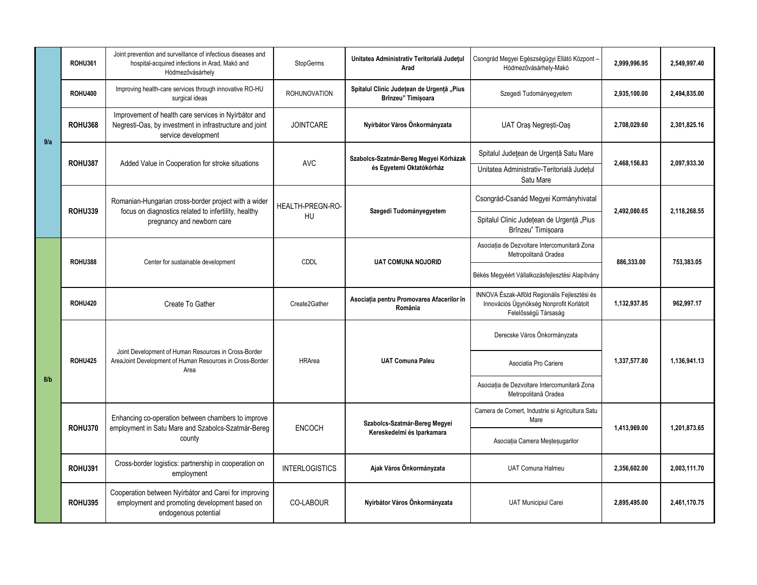| 9/a | <b>ROHU361</b> | Joint prevention and surveillance of infectious diseases and<br>hospital-acquired infections in Arad, Makó and<br>Hódmezővásárhely         | <b>StopGerms</b>              | Unitatea Administrativ Teritorială Județul<br>Arad                 | Csongrád Megyei Egészségügyi Ellátó Központ -<br>Hódmezővásárhely-Makó                                            | 2.999.996.95 | 2.549.997.40 |
|-----|----------------|--------------------------------------------------------------------------------------------------------------------------------------------|-------------------------------|--------------------------------------------------------------------|-------------------------------------------------------------------------------------------------------------------|--------------|--------------|
|     | <b>ROHU400</b> | Improving health-care services through innovative RO-HU<br>surgical ideas                                                                  | <b>ROHUNOVATION</b>           | Spitalul Clinic Județean de Urgență "Pius<br>Brînzeu" Timisoara    | Szegedi Tudományegyetem                                                                                           | 2,935,100.00 | 2,494,835.00 |
|     | <b>ROHU368</b> | Improvement of health care services in Nyírbátor and<br>Negresti-Oas, by investment in infrastructure and joint<br>service development     | <b>JOINTCARE</b>              | Nyírbátor Város Önkormányzata                                      | UAT Oraș Negrești-Oaș                                                                                             | 2,708,029.60 | 2,301,825.16 |
|     | <b>ROHU387</b> | Added Value in Cooperation for stroke situations                                                                                           | <b>AVC</b>                    | Szabolcs-Szatmár-Bereg Megyei Kórházak<br>és Egyetemi Oktatókórház | Spitalul Județean de Urgență Satu Mare<br>Unitatea Administrativ-Teritorială Județul<br>Satu Mare                 | 2,468,156.83 | 2,097,933.30 |
|     | <b>ROHU339</b> | Romanian-Hungarian cross-border project with a wider<br>focus on diagnostics related to infertility, healthy<br>pregnancy and newborn care | HEALTH-PREGN-RO-<br><b>HU</b> | Szegedi Tudományegyetem                                            | Csongrád-Csanád Megyei Kormányhivatal                                                                             | 2.492.080.65 | 2,118,268.55 |
|     |                |                                                                                                                                            |                               |                                                                    | Spitalul Clinic Județean de Urgență "Pius<br>Brînzeu" Timisoara                                                   |              |              |
|     | <b>ROHU388</b> | Center for sustainable development                                                                                                         | CDDL                          | <b>UAT COMUNA NOJORID</b>                                          | Asociatia de Dezvoltare Intercomunitară Zona<br>Metropolitană Oradea                                              | 886,333.00   | 753,383.05   |
|     |                |                                                                                                                                            |                               |                                                                    | Békés Megyéért Vállalkozásfejlesztési Alapítvány                                                                  |              |              |
|     | <b>ROHU420</b> | Create To Gather                                                                                                                           | Create2Gather                 | Asociația pentru Promovarea Afacerilor în<br>România               | INNOVA Észak-Alföld Regionális Fejlesztési és<br>Innovációs Ügynökség Nonprofit Korlátolt<br>Felelősségű Társaság | 1,132,937.85 | 962,997.17   |
|     | <b>ROHU425</b> | Joint Development of Human Resources in Cross-Border<br>AreaJoint Development of Human Resources in Cross-Border<br>Area                   | <b>HRArea</b>                 | <b>UAT Comuna Paleu</b>                                            | Derecske Város Önkormányzata                                                                                      | 1,337,577.80 | 1,136,941.13 |
|     |                |                                                                                                                                            |                               |                                                                    | Asociatia Pro Cariere                                                                                             |              |              |
| 8/b |                |                                                                                                                                            |                               |                                                                    | Asociația de Dezvoltare Intercomunitară Zona<br>Metropolitană Oradea                                              |              |              |
|     | <b>ROHU370</b> | Enhancing co-operation between chambers to improve<br>employment in Satu Mare and Szabolcs-Szatmár-Bereg<br>county                         | <b>ENCOCH</b>                 | Szabolcs-Szatmár-Bereg Megyei<br>Kereskedelmi és Iparkamara        | Camera de Comert, Industrie si Agricultura Satu<br>Mare                                                           | 1,413,969.00 | 1,201,873.65 |
|     |                |                                                                                                                                            |                               |                                                                    | Asociația Camera Meșteșugarilor                                                                                   |              |              |
|     | <b>ROHU391</b> | Cross-border logistics: partnership in cooperation on<br>employment                                                                        | <b>INTERLOGISTICS</b>         | Ajak Város Önkormányzata                                           | <b>UAT Comuna Halmeu</b>                                                                                          | 2,356,602.00 | 2,003,111.70 |
|     | <b>ROHU395</b> | Cooperation between Nyírbátor and Carei for improving<br>employment and promoting development based on<br>endogenous potential             | <b>CO-LABOUR</b>              | Nyírbátor Város Önkormányzata                                      | <b>UAT Municipiul Carei</b>                                                                                       | 2,895,495.00 | 2,461,170.75 |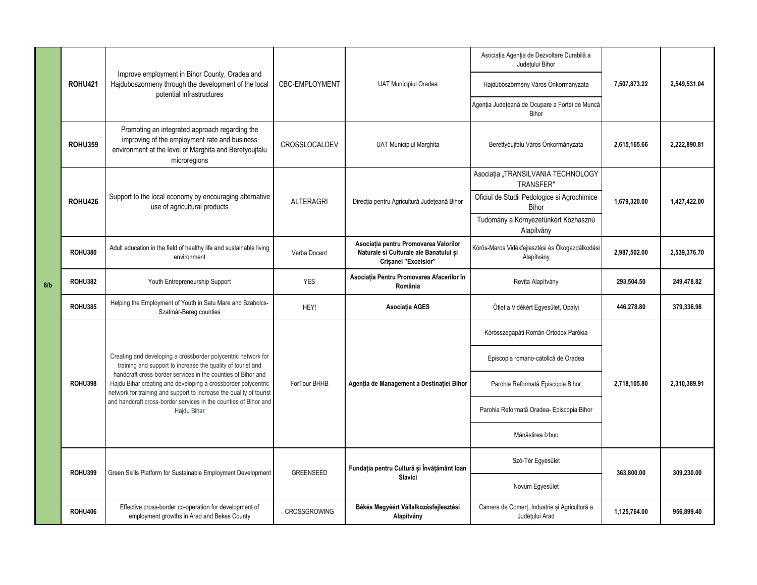|     | <b>ROHU421</b> | Improve employment in Bihor County, Oradea and<br>Hajduboszormeny through the development of the local<br>potential infrastructures                                                                                                                                                                                                                                                                                     | CBC-EMPLOYMENT      | <b>UAT Municipiul Oradea</b>                                                                            | Asociația Agenția de Dezvoltare Durabilă a<br>Judetului Bihor<br>Hajdúböszörmény Város Önkormányzata<br>Agenția Județeană de Ocupare a Forței de Muncă<br>Bihor                   | 7,507,873.22 | 2,549,531.04 |
|-----|----------------|-------------------------------------------------------------------------------------------------------------------------------------------------------------------------------------------------------------------------------------------------------------------------------------------------------------------------------------------------------------------------------------------------------------------------|---------------------|---------------------------------------------------------------------------------------------------------|-----------------------------------------------------------------------------------------------------------------------------------------------------------------------------------|--------------|--------------|
|     | <b>ROHU359</b> | Promoting an integrated approach regarding the<br>improving of the employment rate and business<br>environment at the level of Marghita and Beretyoujfalu<br>microregions                                                                                                                                                                                                                                               | CROSSLOCALDEV       | <b>UAT Municipiul Marghita</b>                                                                          | Berettyóújfalu Város Önkormányzata                                                                                                                                                | 2.615.165.66 | 2.222.890.81 |
|     | <b>ROHU426</b> | Support to the local economy by encouraging alternative<br>use of agricultural products                                                                                                                                                                                                                                                                                                                                 | <b>ALTERAGRI</b>    | Direcția pentru Agricultură Județeană Bihor                                                             | Asociația "TRANSILVANIA TECHNOLOGY<br><b>TRANSFER"</b><br>Oficiul de Studii Pedologice si Agrochimice<br><b>Bihor</b><br>Tudomány a Környezetünkért Közhasznú<br>Alapítvány       | 1,679,320.00 | 1,427,422.00 |
|     | <b>ROHU380</b> | Adult education in the field of healthy life and sustainable living<br>environment                                                                                                                                                                                                                                                                                                                                      | Verba Docent        | Asociatia pentru Promovarea Valorilor<br>Naturale si Culturale ale Banatului și<br>Crisanei "Excelsior" | Körös-Maros Vidékfejlesztési és Ökogazdálkodási<br>Alapítvány                                                                                                                     | 2,987,502.00 | 2,539,376.70 |
| 8/b | <b>ROHU382</b> | Youth Entrepreneurship Support                                                                                                                                                                                                                                                                                                                                                                                          | <b>YES</b>          | Asociația Pentru Promovarea Afacerilor în<br>România                                                    | Revita Alapítvány                                                                                                                                                                 | 293,504.50   | 249,478.82   |
|     | <b>ROHU385</b> | Helping the Employment of Youth in Satu Mare and Szabolcs-<br>Szatmár-Bereg counties                                                                                                                                                                                                                                                                                                                                    | HEY!                | Asociația AGES                                                                                          | Ötlet a Vidékért Egyesület, Opályi                                                                                                                                                | 446.278.80   | 379,336.98   |
|     | <b>ROHU398</b> | Creating and developing a crossborder polycentric network for<br>training and support to increase the quality of tourist and<br>handcraft cross-border services in the counties of Bihor and<br>Hajdu Bihar creating and developing a crossborder polycentric<br>network for training and support to increase the quality of tourist<br>and handcraft cross-border services in the counties of Bihor and<br>Hajdu Bihar | ForTour BHHB        | Agenția de Management a Destinației Bihor                                                               | Körösszegapáti Román Ortodox Parókia<br>Episcopia romano-catolică de Oradea<br>Parohia Reformată Episcopia Bihor<br>Parohia Reformată Oradea- Episcopia Bihor<br>Mănăstirea Izbuc | 2.718.105.80 | 2,310,389.91 |
|     | <b>ROHU399</b> | Green Skills Platform for Sustainable Employment Development                                                                                                                                                                                                                                                                                                                                                            | <b>GREENSEED</b>    | Fundația pentru Cultură și Învățământ Ioan<br>Slavici                                                   | Szó-Tér Egyesület<br>Novum Egyesület                                                                                                                                              | 363.800.00   | 309.230.00   |
|     | <b>ROHU406</b> | Effective cross-border co-operation for development of<br>employment growths in Arad and Bekes County                                                                                                                                                                                                                                                                                                                   | <b>CROSSGROWING</b> | Békés Megyéért Vállalkozásfejlesztési<br>Alapítvány                                                     | Camera de Comert, Industrie și Agricultură a<br>Judetului Arad                                                                                                                    | 1,125,764.00 | 956.899.40   |